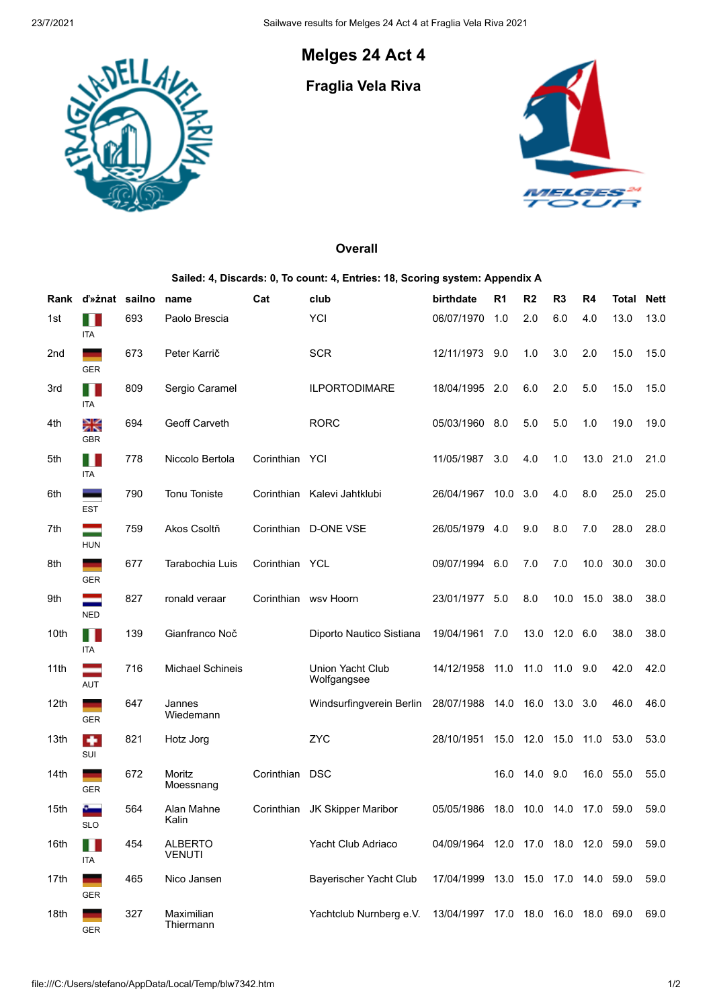## **Melges 24 Act 4**

<u>LAJ</u>

## **Fraglia Vela Riva**



## **Overall**

## **Sailed: 4, Discards: 0, To count: 4, Entries: 18, Scoring system: Appendix A**

| Rank | d'»znat sailno    |     | name                            | Cat            | club                            | birthdate                           | R <sub>1</sub> | R <sub>2</sub> | R <sub>3</sub> | R4   | <b>Total</b> | <b>Nett</b> |
|------|-------------------|-----|---------------------------------|----------------|---------------------------------|-------------------------------------|----------------|----------------|----------------|------|--------------|-------------|
| 1st  | <b>ITA</b>        | 693 | Paolo Brescia                   |                | YCI                             | 06/07/1970                          | 1.0            | 2.0            | 6.0            | 4.0  | 13.0         | 13.0        |
| 2nd  | <b>GER</b>        | 673 | Peter Karrič                    |                | <b>SCR</b>                      | 12/11/1973 9.0                      |                | 1.0            | 3.0            | 2.0  | 15.0         | 15.0        |
| 3rd  | M<br><b>ITA</b>   | 809 | Sergio Caramel                  |                | <b>ILPORTODIMARE</b>            | 18/04/1995 2.0                      |                | 6.0            | 2.0            | 5.0  | 15.0         | 15.0        |
| 4th  | λ₹<br><b>GBR</b>  | 694 | Geoff Carveth                   |                | <b>RORC</b>                     | 05/03/1960 8.0                      |                | 5.0            | 5.0            | 1.0  | 19.0         | 19.0        |
| 5th  | M<br>ITA          | 778 | Niccolo Bertola                 | Corinthian YCI |                                 | 11/05/1987                          | 3.0            | 4.0            | 1.0            | 13.0 | 21.0         | 21.0        |
| 6th  | <b>EST</b>        | 790 | <b>Tonu Toniste</b>             | Corinthian     | Kalevi Jahtklubi                | 26/04/1967                          | 10.0           | 3.0            | 4.0            | 8.0  | 25.0         | 25.0        |
| 7th  | <b>HUN</b>        | 759 | Akos Csoltň                     | Corinthian     | <b>D-ONE VSE</b>                | 26/05/1979 4.0                      |                | 9.0            | 8.0            | 7.0  | 28.0         | 28.0        |
| 8th  | ۰<br><b>GER</b>   | 677 | Tarabochia Luis                 | Corinthian YCL |                                 | 09/07/1994 6.0                      |                | 7.0            | 7.0            | 10.0 | 30.0         | 30.0        |
| 9th  | <b>NED</b>        | 827 | ronald veraar                   |                | Corinthian wsv Hoorn            | 23/01/1977 5.0                      |                | 8.0            | 10.0           | 15.0 | 38.0         | 38.0        |
| 10th | TI.<br><b>ITA</b> | 139 | Gianfranco Noč                  |                | Diporto Nautico Sistiana        | 19/04/1961 7.0                      |                |                | 13.0 12.0      | 6.0  | 38.0         | 38.0        |
| 11th | <b>AUT</b>        | 716 | <b>Michael Schineis</b>         |                | Union Yacht Club<br>Wolfgangsee | 14/12/1958 11.0                     |                | 11.0 11.0      |                | 9.0  | 42.0         | 42.0        |
| 12th | <b>GER</b>        | 647 | Jannes<br>Wiedemann             |                | Windsurfingverein Berlin        | 28/07/1988 14.0 16.0 13.0           |                |                |                | 3.0  | 46.0         | 46.0        |
| 13th | ٠<br>SUI          | 821 | Hotz Jorg                       |                | <b>ZYC</b>                      | 28/10/1951                          | 15.0           | 12.0 15.0      |                | 11.0 | 53.0         | 53.0        |
| 14th | <b>GER</b>        | 672 | Moritz<br>Moessnang             | Corinthian     | <b>DSC</b>                      |                                     | 16.0           | 14.0 9.0       |                | 16.0 | 55.0         | 55.0        |
| 15th | <b>SLO</b>        | 564 | Alan Mahne<br>Kalin             | Corinthian     | JK Skipper Maribor              | 05/05/1986                          | 18.0           | 10.0           | 14.0           | 17.0 | 59.0         | 59.0        |
| 16th | <b>ITA</b>        | 454 | <b>ALBERTO</b><br><b>VENUTI</b> |                | Yacht Club Adriaco              | 04/09/1964 12.0 17.0 18.0 12.0 59.0 |                |                |                |      |              | 59.0        |
| 17th | GER               | 465 | Nico Jansen                     |                | Bayerischer Yacht Club          | 17/04/1999 13.0 15.0 17.0 14.0 59.0 |                |                |                |      |              | 59.0        |
| 18th | -<br>GER          | 327 | Maximilian<br>Thiermann         |                | Yachtclub Nurnberg e.V.         | 13/04/1997 17.0 18.0 16.0 18.0 69.0 |                |                |                |      |              | 69.0        |